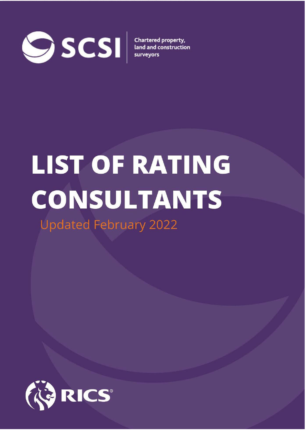

# **LIST OF RATING CONSULTANTS**

**Updated February 2022** 

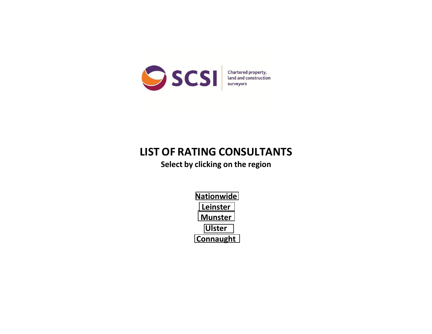

## **LIST OF RATING CONSULTANTS**

**Select by clicking on the region** 

**[Nationwide](#page-2-0)  [Leinster](#page-15-0)  [Munster](#page-16-0)  [Ulster](#page-2-0)  [Connaught](#page-16-0)**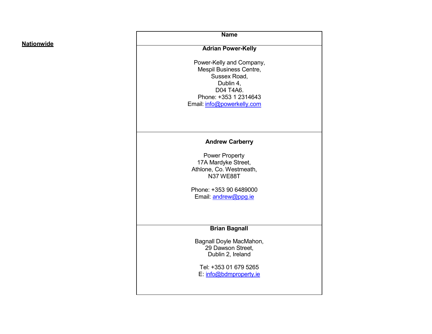#### <span id="page-2-0"></span>**Nationwide**

**Name**

#### **Adrian Power-Kelly**

Power-Kelly and Company, Mespil Business Centre, Sussex Road, Dublin 4, D04 T4A6. Phone: +353 1 2314643 Email: [info@powerkelly.com](mailto:info@powerkelly.com)

#### **Andrew Carberry**

Power Property 17A Mardyke Street, Athlone, Co. Westmeath, N37 WE88T

Phone: +353 90 6489000 Email: [andrew@ppg.ie](mailto:andrew@ppg.ie)

#### **Brian Bagnall**

Bagnall Doyle MacMahon, 29 Dawson Street, Dublin 2, Ireland

Tel: +353 01 679 5265 E: [info@bdmproperty.ie](mailto:info@bdmproperty.ie)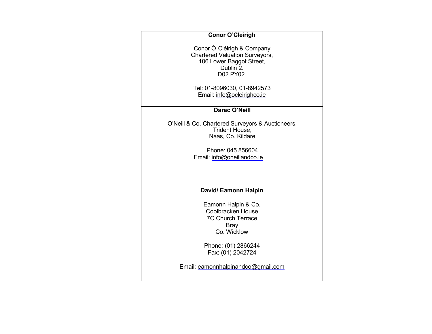#### **Conor O'Cleirigh**

Conor Ó Cléirigh & Company Chartered Valuation Surveyors, 106 Lower Baggot Street, Dublin 2. D02 PY02.

Tel: 01-8096030, 01-8942573 Email: [info@ocleirighco.ie](mailto:info@ocleirighco.ie) 

#### **Darac O'Neill**

O'Neill & Co. Chartered Surveyors & Auctioneers, Trident House, Naas, Co. Kildare

> Phone: 045 856604 Email: [info@oneillandco.ie](mailto:info@oneillandco.ie)

#### **David/ Eamonn Halpin**

Eamonn Halpin & Co. Coolbracken House 7C Church Terrace Bray Co. Wicklow

Phone: (01) 2866244 Fax: (01) 2042724

Email: [eamonnhalpinandco@gmail.com](mailto:eamonnhalpinandco@gmail.com)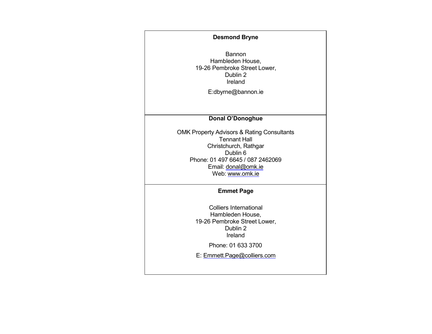#### **Desmond Bryne**

Bannon Hambleden House, 19-26 Pembroke Street Lower, Dublin 2 Ireland

[E:dbyrne@bannon.ie](mailto:dbyrne@bannon.ie) 

**Donal O'Donoghue**

OMK Property Advisors & Rating Consultants Tennant Hall Christchurch, Rathgar Dublin 6 Phone: 01 497 6645 / 087 2462069 Email: [donal@omk.ie](mailto:donal@omk.ie)  Web: [www.omk.ie](http://www.omk.ie/) 

#### **Emmet Page**

Colliers International Hambleden House, 19-26 Pembroke Street Lower, Dublin 2 Ireland

Phone: 01 633 3700

E: [Emmett.Page@colliers.com](mailto:Emmett.Page@colliers.com)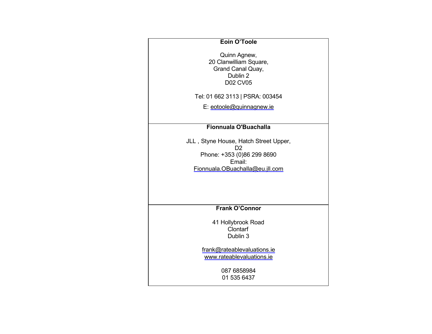#### **Eoin O'Toole**

Quinn Agnew, 20 Clanwilliam Square, Grand Canal Quay, Dublin 2 D02 CV05

Tel: 01 662 3113 | PSRA: 003454

E: [eotoole@quinnagnew.ie](mailto:eotoole@quinnagnew.ie) 

#### **Fionnuala O'Buachalla**

JLL , Styne House, Hatch Street Upper, D2 Phone: +353 (0)86 299 8690 Email: [Fionnuala.OBuachalla@eu.jll.com](mailto:Fionnuala.OBuachalla@eu.jll.com) 

#### **Frank O'Connor**

41 Hollybrook Road Clontarf Dublin 3

[frank@rateablevaluations.ie](mailto:frank@rateablevaluations.ie)  [www.rateablevaluations.ie](http://www.rateablevaluations.ie/) 

> 087 6858984 01 535 6437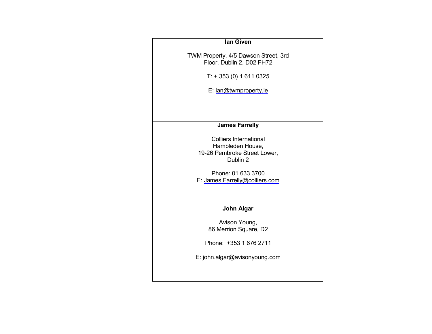#### **Ian Given**

TWM Property, 4/5 Dawson Street, 3rd Floor, Dublin 2, D02 FH72

T: + 353 (0) 1 611 0325

E: [ian@twmproperty.ie](mailto:ian@twmproperty.ie) 

#### **James Farrelly**

Colliers International Hambleden House, 19-26 Pembroke Street Lower, Dublin 2

Phone: 01 633 3700 E: [James.Farrelly@colliers.com](mailto:James.Farrelly@colliers.com) 

#### **John Algar**

Avison Young, 86 Merrion Square, D2

Phone: +353 1 676 2711

E: [john.algar@avisonyoung.com](mailto:john.algar@avisonyoung.com)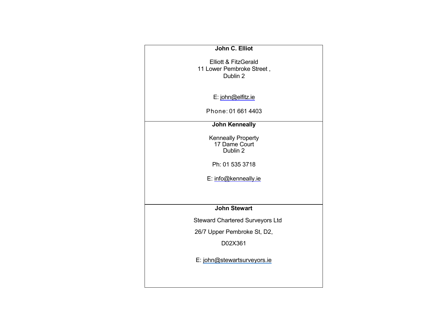| John C. Elliot                                                |
|---------------------------------------------------------------|
| Elliott & FitzGerald<br>11 Lower Pembroke Street,<br>Dublin 2 |
| E: john@elfitz.ie                                             |
| Phone: 01 661 4403                                            |
| <b>John Kenneally</b>                                         |
| Kenneally Property<br>17 Dame Court<br>Dublin 2               |
| Ph: 01 535 3718                                               |
| E: info@kenneally.ie                                          |
|                                                               |
| <b>John Stewart</b>                                           |
| <b>Steward Chartered Surveyors Ltd</b>                        |
| 26/7 Upper Pembroke St, D2,                                   |
| D02X361                                                       |
| E: john@stewartsurveyors.ie                                   |
|                                                               |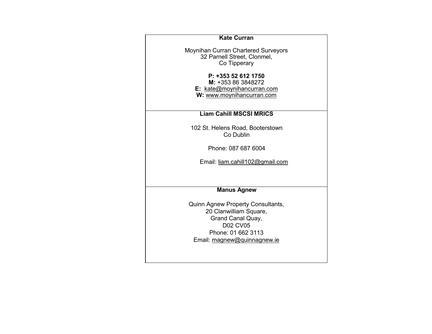| <b>Kate Curran</b>                       |
|------------------------------------------|
| Moynihan Curran Chartered Surveyors      |
| 32 Parnell Street, Clonmel,              |
| Co Tipperary                             |
| P: +353 52 612 1750                      |
| M: +353 86 3848272                       |
| <b>E:</b> kate@moynihancurran.com        |
| W: www.moynihancurran.com                |
|                                          |
| <b>Liam Cahill MSCSI MRICS</b>           |
| 102 St. Helens Road, Booterstown         |
| Co Dublin                                |
|                                          |
| Phone: 087 687 6004                      |
| Email: liam.cahill102@gmail.com          |
|                                          |
|                                          |
| <b>Manus Agnew</b>                       |
|                                          |
| <b>Quinn Agnew Property Consultants,</b> |
| 20 Clanwilliam Square,                   |
| Grand Canal Quay,                        |
| <b>D02 CV05</b>                          |
| Phone: 01 662 3113                       |
| Email: magnew@quinnagnew.ie              |
|                                          |
|                                          |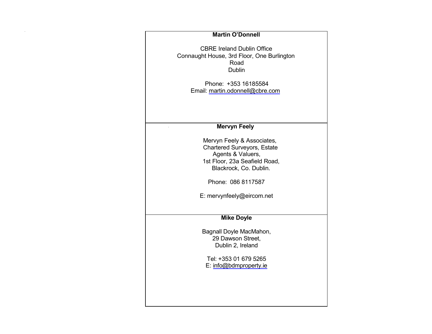| <b>Martin O'Donnell</b>                                                                                                                                                                             |
|-----------------------------------------------------------------------------------------------------------------------------------------------------------------------------------------------------|
| <b>CBRE Ireland Dublin Office</b><br>Connaught House, 3rd Floor, One Burlington<br>Road<br><b>Dublin</b>                                                                                            |
| Phone: +353 16185584<br>Email: martin.odonnell@cbre.com                                                                                                                                             |
| <b>Mervyn Feely</b>                                                                                                                                                                                 |
| Mervyn Feely & Associates,<br><b>Chartered Surveyors, Estate</b><br>Agents & Valuers,<br>1st Floor, 23a Seafield Road,<br>Blackrock, Co. Dublin.<br>Phone: 086 8117587<br>E: mervynfeely@eircom.net |
| <b>Mike Doyle</b>                                                                                                                                                                                   |
| Bagnall Doyle MacMahon,<br>29 Dawson Street,<br>Dublin 2, Ireland                                                                                                                                   |
| Tel: +353 01 679 5265<br>E: info@bdmproperty.ie                                                                                                                                                     |
|                                                                                                                                                                                                     |
|                                                                                                                                                                                                     |

 $\mathcal{L}^{\mathcal{L}}(\mathcal{L}^{\mathcal{L}})$  and  $\mathcal{L}^{\mathcal{L}}(\mathcal{L}^{\mathcal{L}})$  and  $\mathcal{L}^{\mathcal{L}}(\mathcal{L}^{\mathcal{L}})$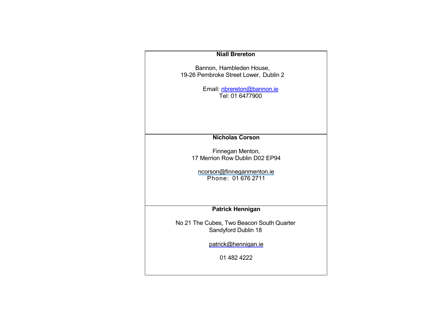| <b>Niall Brereton</b>                     |
|-------------------------------------------|
|                                           |
| Bannon, Hambleden House,                  |
| 19-26 Pembroke Street Lower, Dublin 2     |
|                                           |
|                                           |
| Email: nbrereton@bannon.ie                |
| Tel: 01 6477900                           |
|                                           |
|                                           |
|                                           |
|                                           |
|                                           |
|                                           |
| <b>Nicholas Corson</b>                    |
|                                           |
|                                           |
| Finnegan Menton,                          |
| 17 Merrion Row Dublin D02 EP94            |
|                                           |
|                                           |
| ncorson@finneganmenton.ie                 |
| Phone: 01 676 2711                        |
|                                           |
|                                           |
|                                           |
|                                           |
| <b>Patrick Hennigan</b>                   |
|                                           |
|                                           |
| No 21 The Cubes, Two Beacon South Quarter |
| Sandyford Dublin 18                       |
|                                           |
|                                           |
| patrick@hennigan.ie                       |
|                                           |
| 01 482 4222                               |
|                                           |
|                                           |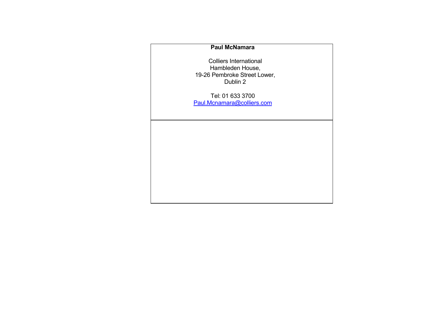#### **Paul McNamara**

Colliers International Hambleden House, 19-26 Pembroke Street Lower, Dublin 2

Tel: 01 633 3700 [Paul.Mcnamara@colliers.com](mailto:Paul.Mcnamara@colliers.com)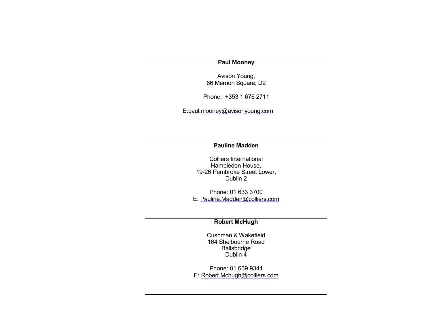#### **Paul Mooney**

Avison Young, 86 Merrion Square, D2

Phone: +353 1 676 2711

[E:paul.mooney@avisonyoung.com](mailto:paul.mooney@avisonyoung.com) 

#### **Pauline Madden**

Colliers International Hambleden House, 19-26 Pembroke Street Lower, Dublin 2

Phone: 01 633 3700 E: [Pauline.Madden@colliers.com](mailto:Pauline.Madden@colliers.com) 

#### **Robert McHugh**

Cushman & Wakefield 164 Shelbourne Road Ballsbridge Dublin 4

Phone: 01 639 9341 E: [Robert.Mchugh@colliers.com](mailto:Robert.Mchugh@colliers.com)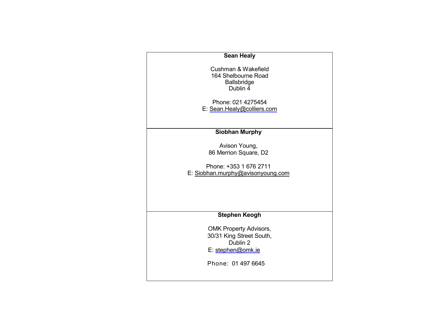| <b>Sean Healy</b>                                                                                                |  |
|------------------------------------------------------------------------------------------------------------------|--|
| Cushman & Wakefield<br>164 Shelbourne Road<br><b>Ballsbridge</b><br>Dublin 4                                     |  |
| Phone: 021 4275454                                                                                               |  |
| E: Sean.Healy@colliers.com                                                                                       |  |
|                                                                                                                  |  |
|                                                                                                                  |  |
| <b>Siobhan Murphy</b>                                                                                            |  |
| Avison Young,                                                                                                    |  |
| 86 Merrion Square, D2                                                                                            |  |
| Phone: +353 1 676 2711<br>E: Siobhan.murphy@avisonyoung.com                                                      |  |
| <b>Stephen Keogh</b>                                                                                             |  |
| <b>OMK Property Advisors,</b><br>30/31 King Street South,<br>Dublin 2<br>E: stephen@omk.ie<br>Phone: 01 497 6645 |  |
|                                                                                                                  |  |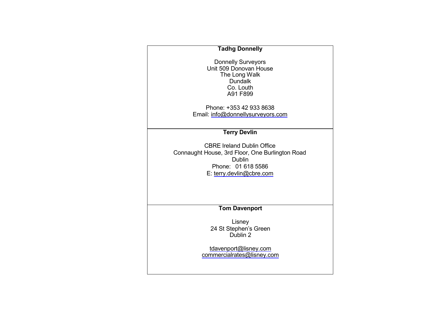#### **Tadhg Donnelly**

Donnelly Surveyors Unit 509 Donovan House The Long Walk **Dundalk** Co. Louth A91 F899

Phone: +353 42 933 8638 Email: [info@donnellysurveyors.com](mailto:info@donnellysurveyors.com) 

#### **Terry Devlin**

CBRE Ireland Dublin Office Connaught House, 3rd Floor, One Burlington Road Dublin Phone: 01 618 5586 E: [terry.devlin@cbre.com](mailto:terry.devlin@cbre.com) 

**Tom Davenport**

Lisney 24 St Stephen's Green Dublin 2

[tdavenport@lisney.com](mailto:tdavenport@lisney.com) [commercialrates@lisney.com](mailto:commercialrates@lisney.com)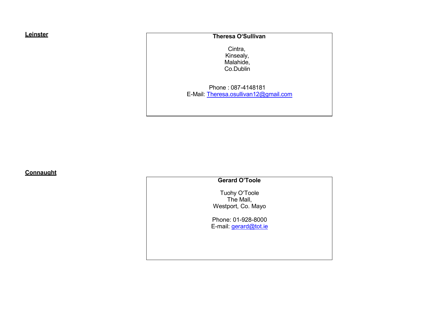#### <span id="page-15-0"></span>**Leinster**

#### **Theresa O'Sullivan**

Cintra, Kinsealy, Malahide, Co.Dublin

Phone : 087-4148181 E-Mail: [Theresa.osullivan12@gmail.com](mailto:Theresa.osullivan12@gmail.com)

**Connaught**

#### **Gerard O'Toole**

Tuohy O'Toole The Mall, Westport, Co. Mayo

Phone: 01-928-8000 E-mail: [gerard@tot.ie](mailto:gerard@tot.ie)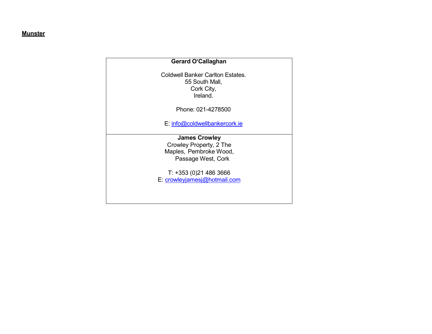#### <span id="page-16-0"></span>**Munster**

## **Gerard O'Callaghan** Coldwell Banker Carlton Estates. 55 South Mall, Cork City, Ireland. Phone: 021-4278500 E: [info@coldwellbankercork.ie](mailto:info@coldwellbankercork.ie) **James Crowley** Crowley Property, 2 The Maples, Pembroke Wood, Passage West, Cork T: +353 (0)21 486 3666 E: [crowleyjamesj@hotmail.com](mailto:crowleyjamesj@hotmail.com)